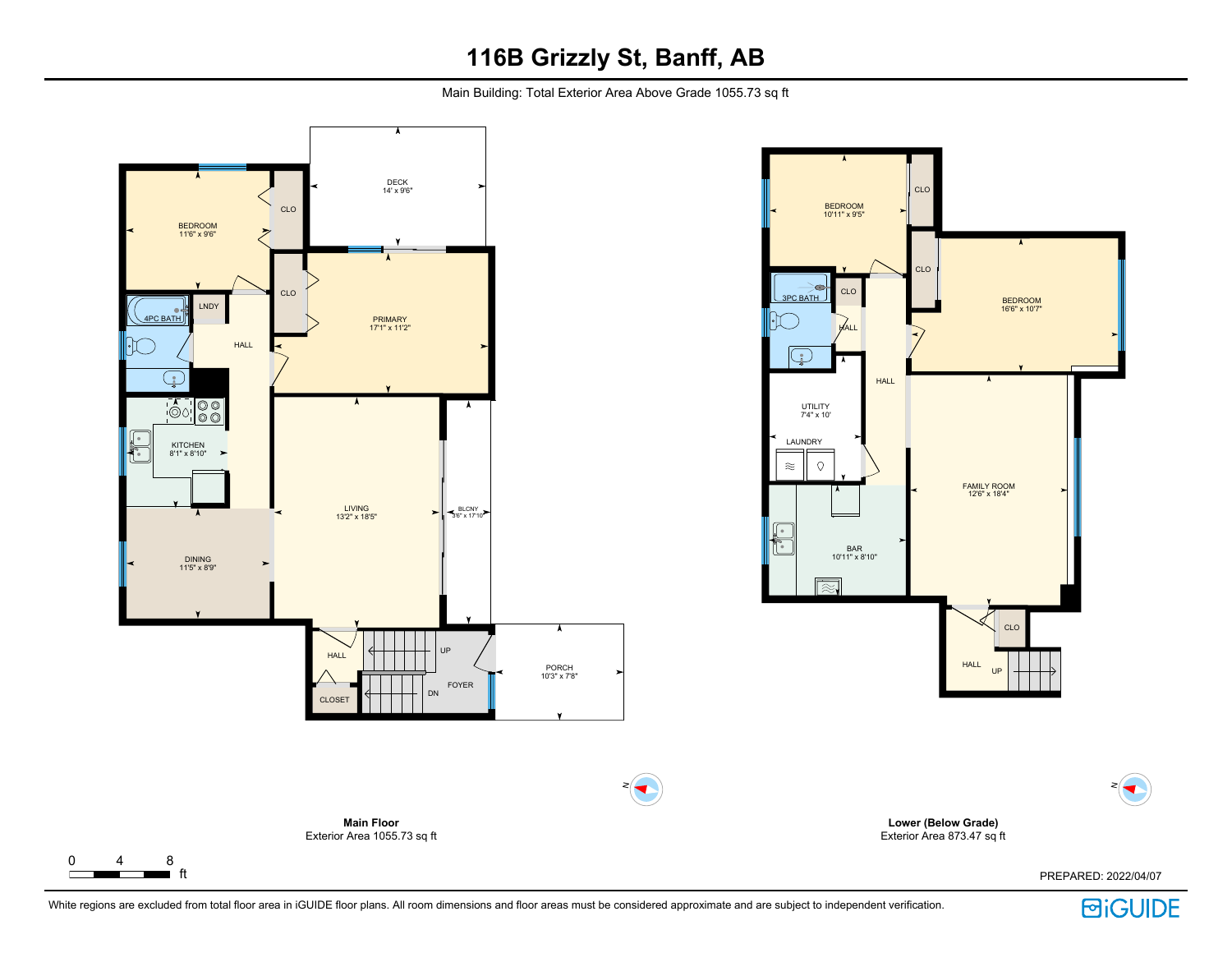Main Building: Total Exterior Area Above Grade 1055.73 sq ft





**Lower (Below Grade)** Exterior Area 873.47 sq ft

PREPARED: 2022/04/07

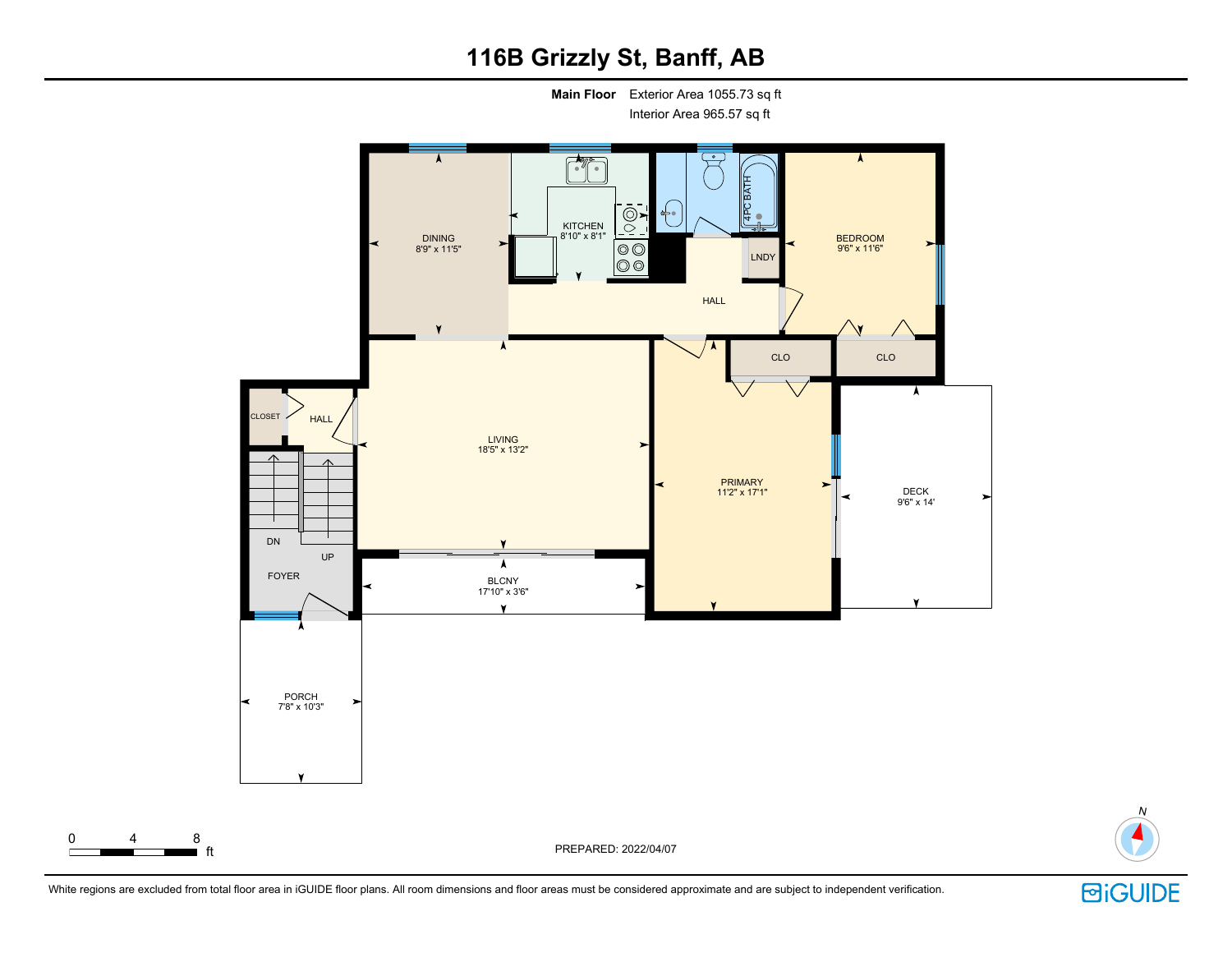**Main Floor** Exterior Area 1055.73 sq ft

Interior Area 965.57 sq ft





**回iGUIDE** 

N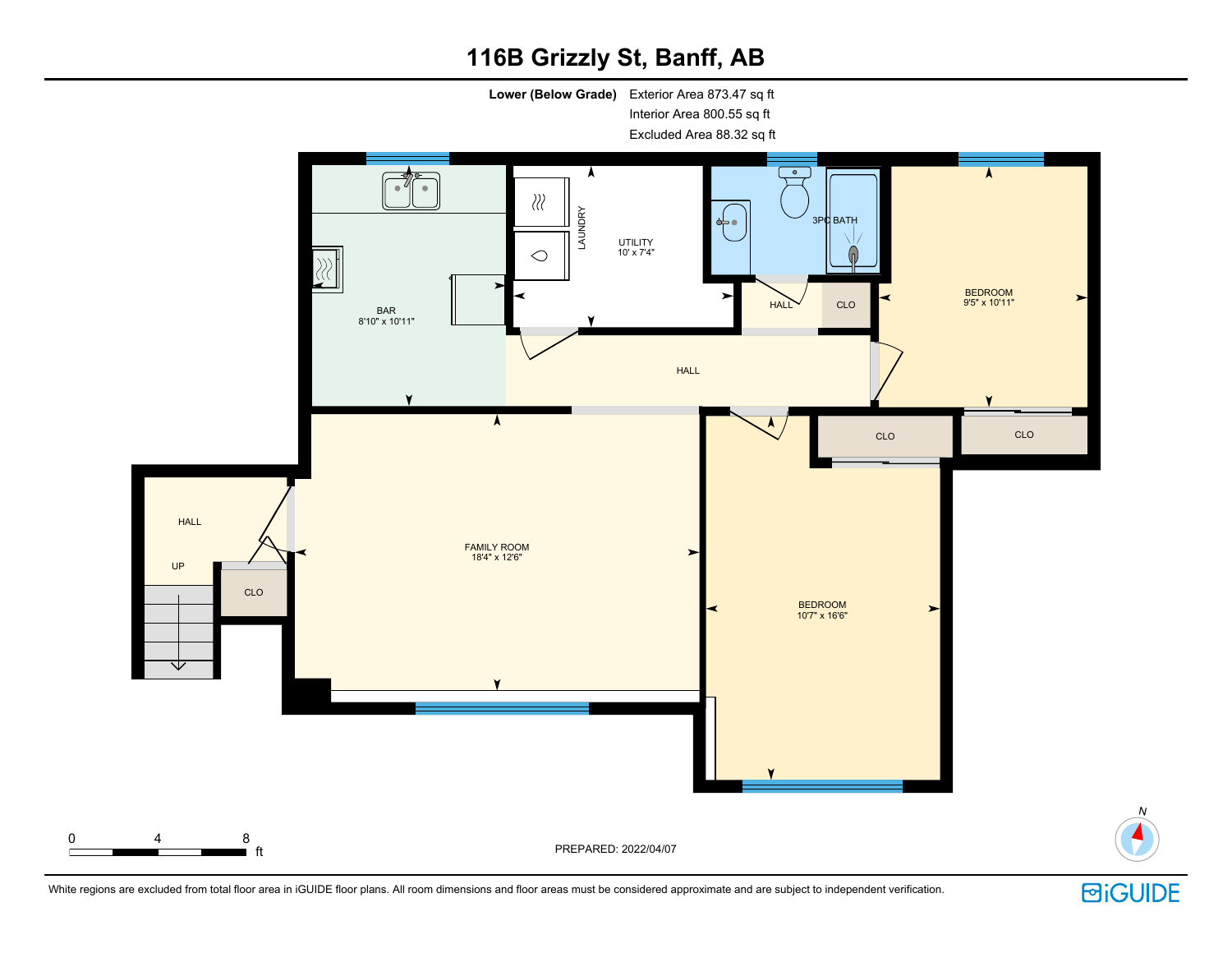**Lower (Below Grade)** Exterior Area 873.47 sq ft Interior Area 800.55 sq ft

Excluded Area 88.32 sq ft





N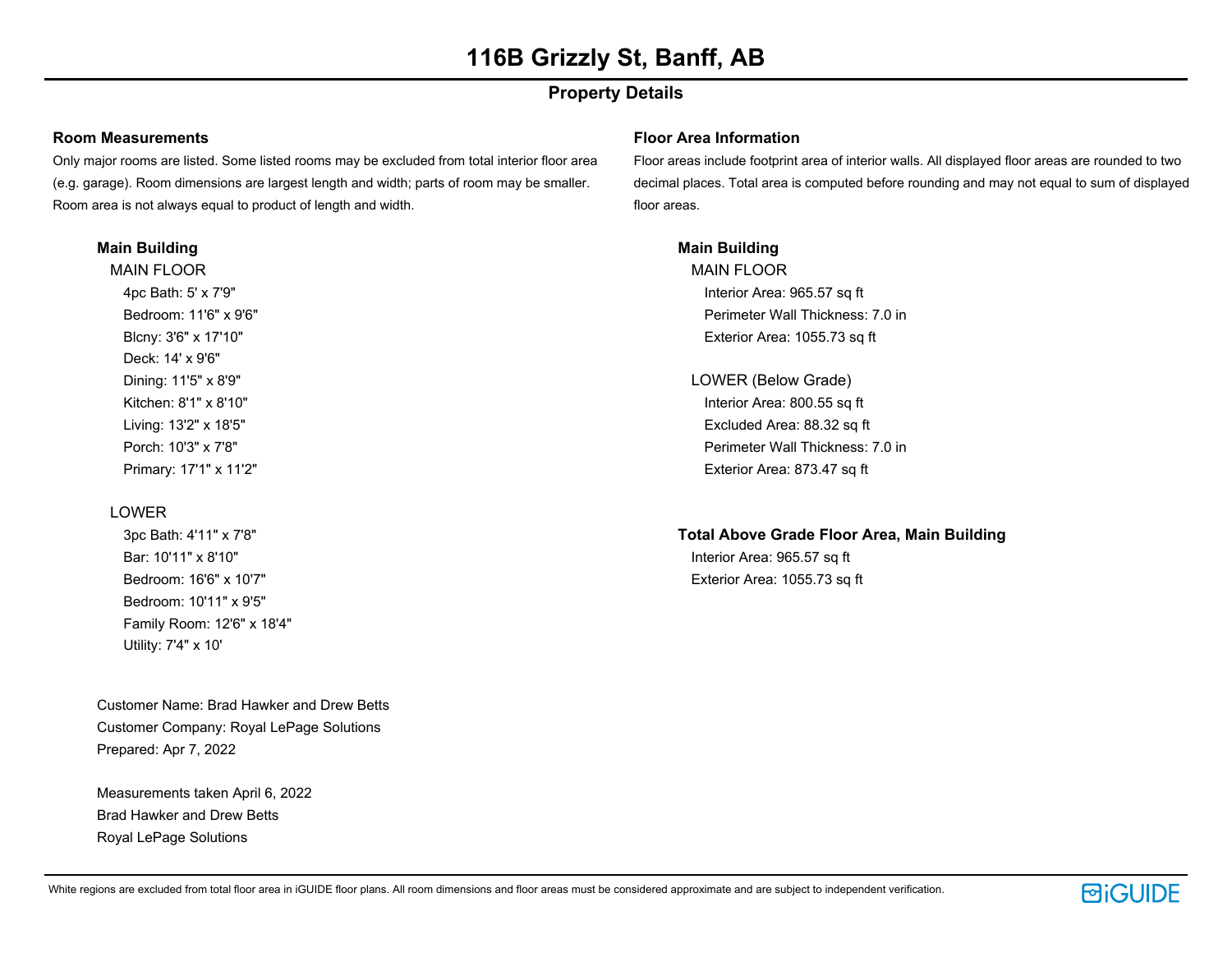### **Property Details**

### **Room Measurements**

Only major rooms are listed. Some listed rooms may be excluded from total interior floor area (e.g. garage). Room dimensions are largest length and width; parts of room may be smaller. Room area is not always equal to product of length and width.

#### **Main Building**

MAIN FLOOR 4pc Bath: 5' x 7'9" Bedroom: 11'6" x 9'6" Blcny: 3'6" x 17'10" Deck: 14' x 9'6" Dining: 11'5" x 8'9" Kitchen: 8'1" x 8'10" Living: 13'2" x 18'5" Porch: 10'3" x 7'8" Primary: 17'1" x 11'2"

### LOWER

3pc Bath: 4'11" x 7'8" Bar: 10'11" x 8'10" Bedroom: 16'6" x 10'7" Bedroom: 10'11" x 9'5" Family Room: 12'6" x 18'4" Utility: 7'4" x 10'

Customer Name: Brad Hawker and Drew Betts Customer Company: Royal LePage Solutions Prepared: Apr 7, 2022

Measurements taken April 6, 2022 Brad Hawker and Drew Betts Royal LePage Solutions

#### **Floor Area Information**

Floor areas include footprint area of interior walls. All displayed floor areas are rounded to two decimal places. Total area is computed before rounding and may not equal to sum of displayed floor areas.

### **Main Building**

MAIN FLOOR Interior Area: 965.57 sq ft Perimeter Wall Thickness: 7.0 in Exterior Area: 1055.73 sq ft

LOWER (Below Grade) Interior Area: 800.55 sq ft Excluded Area: 88.32 sq ft Perimeter Wall Thickness: 7.0 in Exterior Area: 873.47 sq ft

### **Total Above Grade Floor Area, Main Building**

Interior Area: 965.57 sq ft Exterior Area: 1055.73 sq ft

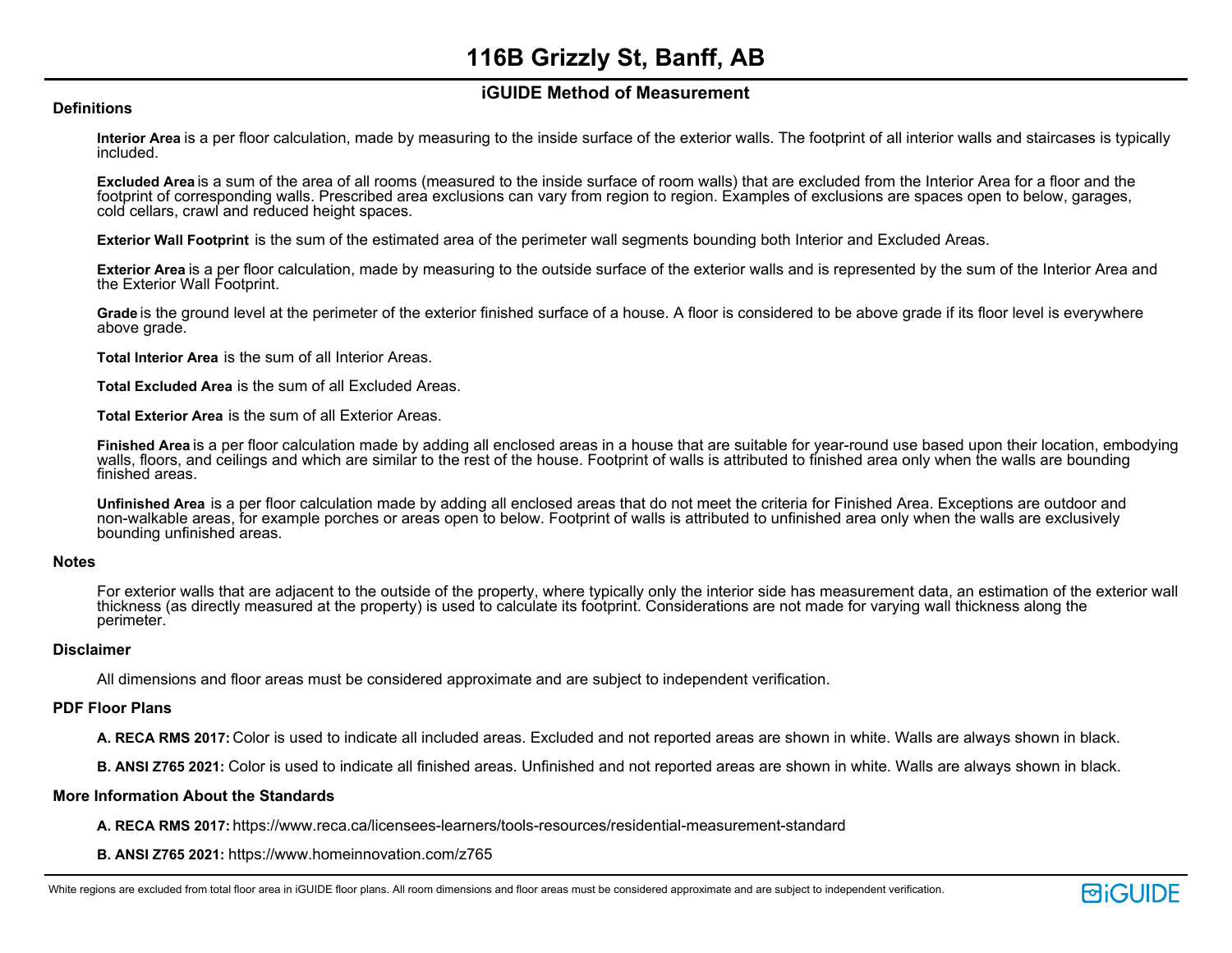### **iGUIDE Method of Measurement**

#### **Definitions**

**Interior Area** is a per floor calculation, made by measuring to the inside surface of the exterior walls. The footprint of all interior walls and staircases is typically included.

**Excluded Area** is a sum of the area of all rooms (measured to the inside surface of room walls) that are excluded from the Interior Area for a floor and the footprint of corresponding walls. Prescribed area exclusions can vary from region to region. Examples of exclusions are spaces open to below, garages, cold cellars, crawl and reduced height spaces.

**Exterior Wall Footprint** is the sum of the estimated area of the perimeter wall segments bounding both Interior and Excluded Areas.

**Exterior Area** is a per floor calculation, made by measuring to the outside surface of the exterior walls and is represented by the sum of the Interior Area and the Exterior Wall Footprint.

**Grade** is the ground level at the perimeter of the exterior finished surface of a house. A floor is considered to be above grade if its floor level is everywhere above grade.

**Total Interior Area** is the sum of all Interior Areas.

**Total Excluded Area** is the sum of all Excluded Areas.

**Total Exterior Area** is the sum of all Exterior Areas.

**Finished Area** is a per floor calculation made by adding all enclosed areas in a house that are suitable for year-round use based upon their location, embodying walls, floors, and ceilings and which are similar to the rest of the house. Footprint of walls is attributed to finished area only when the walls are bounding finished areas.

**Unfinished Area** is a per floor calculation made by adding all enclosed areas that do not meet the criteria for Finished Area. Exceptions are outdoor and non-walkable areas, for example porches or areas open to below. Footprint of walls is attributed to unfinished area only when the walls are exclusively bounding unfinished areas.

#### **Notes**

For exterior walls that are adjacent to the outside of the property, where typically only the interior side has measurement data, an estimation of the exterior wall thickness (as directly measured at the property) is used to calculate its footprint. Considerations are not made for varying wall thickness along the perimeter.

#### **Disclaimer**

All dimensions and floor areas must be considered approximate and are subject to independent verification.

#### **PDF Floor Plans**

**A. RECA RMS 2017:** Color is used to indicate all included areas. Excluded and not reported areas are shown in white. Walls are always shown in black.

**B. ANSI Z765 2021:** Color is used to indicate all finished areas. Unfinished and not reported areas are shown in white. Walls are always shown in black.

#### **More Information About the Standards**

**A. RECA RMS 2017:** https://www.reca.ca/licensees-learners/tools-resources/residential-measurement-standard

**B. ANSI Z765 2021:** https://www.homeinnovation.com/z765

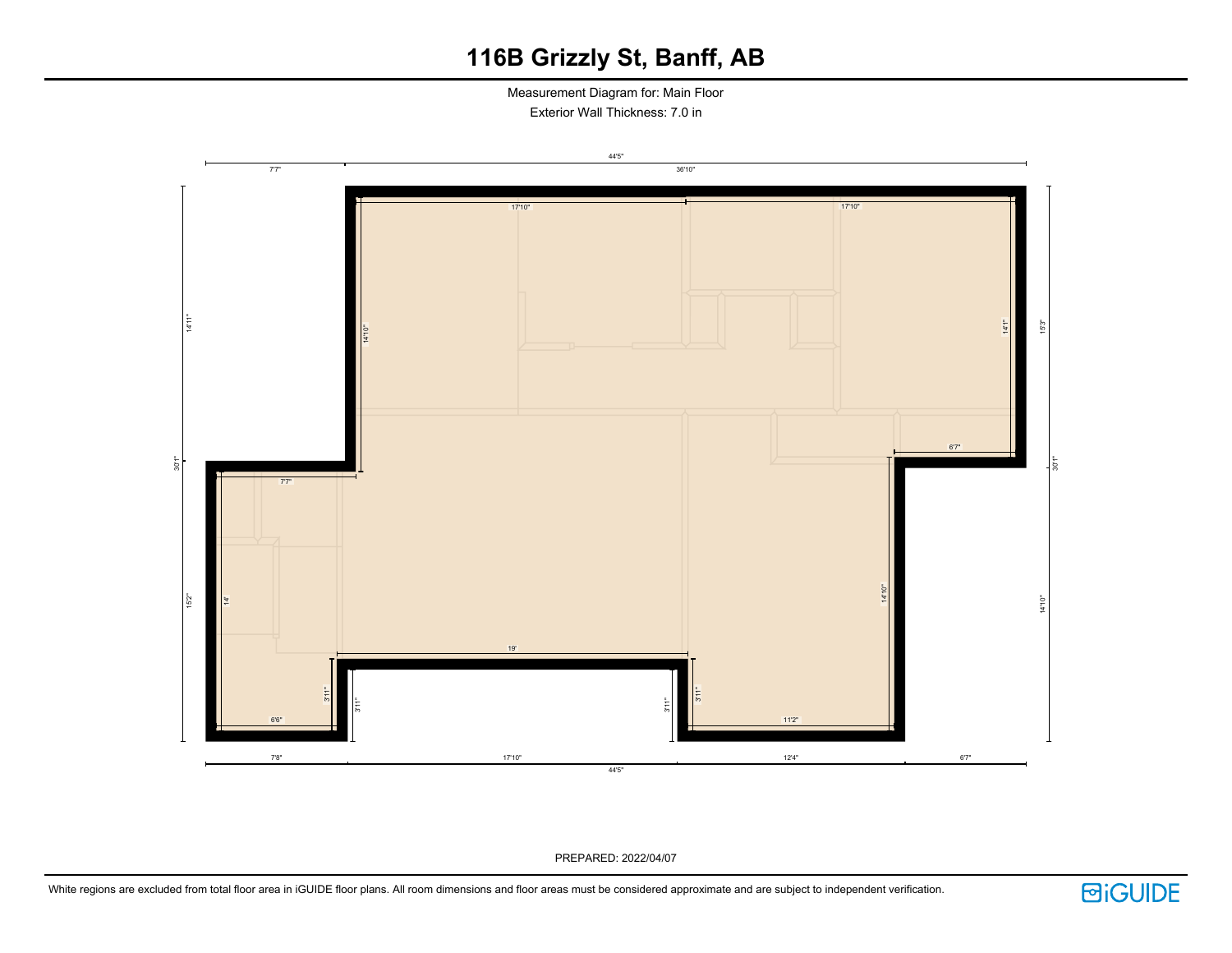Measurement Diagram for: Main Floor Exterior Wall Thickness: 7.0 in



PREPARED: 2022/04/07